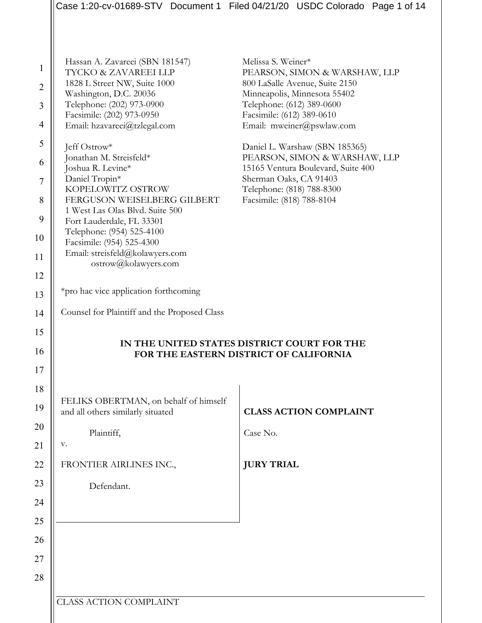|                |                                                                                       | Case 1:20-cv-01689-STV Document 1 Filed 04/21/20 USDC Colorado Page 1 of 14 |  |  |
|----------------|---------------------------------------------------------------------------------------|-----------------------------------------------------------------------------|--|--|
|                |                                                                                       |                                                                             |  |  |
|                |                                                                                       |                                                                             |  |  |
| $\mathbf{1}$   | Hassan A. Zavareei (SBN 181547)<br>TYCKO & ZAVAREEI LLP                               | Melissa S. Weiner*<br>PEARSON, SIMON & WARSHAW, LLP                         |  |  |
| $\overline{2}$ | 1828 L Street NW, Suite 1000                                                          | 800 LaSalle Avenue, Suite 2150                                              |  |  |
| 3              | Washington, D.C. 20036<br>Telephone: (202) 973-0900                                   | Minneapolis, Minnesota 55402<br>Telephone: (612) 389-0600                   |  |  |
|                | Facsimile: (202) 973-0950                                                             | Facsimile: (612) 389-0610                                                   |  |  |
| 4              | Email: hzavareei@tzlegal.com                                                          | Email: mweiner@pswlaw.com                                                   |  |  |
| $\mathfrak s$  | Jeff Ostrow*                                                                          | Daniel L. Warshaw (SBN 185365)                                              |  |  |
| 6              | Jonathan M. Streisfeld*                                                               | PEARSON, SIMON & WARSHAW, LLP                                               |  |  |
| $\overline{7}$ | Joshua R. Levine*<br>Daniel Tropin*                                                   | 15165 Ventura Boulevard, Suite 400<br>Sherman Oaks, CA 91403                |  |  |
|                | KOPELOWITZ OSTROW                                                                     | Telephone: (818) 788-8300                                                   |  |  |
| 8              | FERGUSON WEISELBERG GILBERT<br>1 West Las Olas Blvd. Suite 500                        | Facsimile: (818) 788-8104                                                   |  |  |
| 9              | Fort Lauderdale, FL 33301                                                             |                                                                             |  |  |
| 10             | Telephone: (954) 525-4100                                                             |                                                                             |  |  |
|                | Facsimile: (954) 525-4300<br>Email: streisfeld@kolawyers.com                          |                                                                             |  |  |
| 11             | ostrow@kolawyers.com                                                                  |                                                                             |  |  |
| 12             |                                                                                       |                                                                             |  |  |
| 13             | *pro hac vice application forthcoming                                                 |                                                                             |  |  |
| 14             | Counsel for Plaintiff and the Proposed Class                                          |                                                                             |  |  |
| 15             |                                                                                       |                                                                             |  |  |
| 16             | IN THE UNITED STATES DISTRICT COURT FOR THE<br>FOR THE EASTERN DISTRICT OF CALIFORNIA |                                                                             |  |  |
| 17             |                                                                                       |                                                                             |  |  |
| 18             |                                                                                       |                                                                             |  |  |
|                | FELIKS OBERTMAN, on behalf of himself                                                 |                                                                             |  |  |
| 19             | and all others similarly situated                                                     | <b>CLASS ACTION COMPLAINT</b>                                               |  |  |
| 20             | Plaintiff,                                                                            | Case No.                                                                    |  |  |
| 21             | v.                                                                                    |                                                                             |  |  |
| 22             | FRONTIER AIRLINES INC.,                                                               | <b>JURY TRIAL</b>                                                           |  |  |
| 23             | Defendant.                                                                            |                                                                             |  |  |
| 24             |                                                                                       |                                                                             |  |  |
| 25             |                                                                                       |                                                                             |  |  |
| 26             |                                                                                       |                                                                             |  |  |
| 27             |                                                                                       |                                                                             |  |  |
| 28             |                                                                                       |                                                                             |  |  |
|                |                                                                                       |                                                                             |  |  |
|                | <b>CLASS ACTION COMPLAINT</b>                                                         |                                                                             |  |  |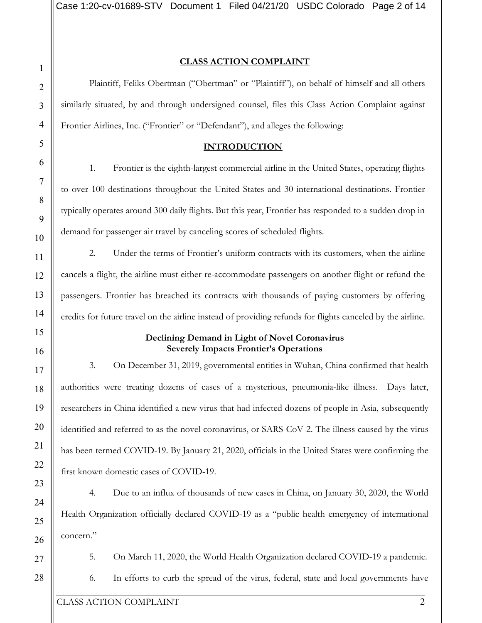#### **CLASS ACTION COMPLAINT**

Plaintiff, Feliks Obertman ("Obertman" or "Plaintiff"), on behalf of himself and all others similarly situated, by and through undersigned counsel, files this Class Action Complaint against Frontier Airlines, Inc. ("Frontier" or "Defendant"), and alleges the following:

#### **INTRODUCTION**

1. Frontier is the eighth-largest commercial airline in the United States, operating flights to over 100 destinations throughout the United States and 30 international destinations. Frontier typically operates around 300 daily flights. But this year, Frontier has responded to a sudden drop in demand for passenger air travel by canceling scores of scheduled flights.

2. Under the terms of Frontier's uniform contracts with its customers, when the airline cancels a flight, the airline must either re-accommodate passengers on another flight or refund the passengers. Frontier has breached its contracts with thousands of paying customers by offering credits for future travel on the airline instead of providing refunds for flights canceled by the airline.

## **Declining Demand in Light of Novel Coronavirus Severely Impacts Frontier's Operations**

3. On December 31, 2019, governmental entities in Wuhan, China confirmed that health authorities were treating dozens of cases of a mysterious, pneumonia-like illness. Days later, researchers in China identified a new virus that had infected dozens of people in Asia, subsequently identified and referred to as the novel coronavirus, or SARS-CoV-2. The illness caused by the virus has been termed COVID-19. By January 21, 2020, officials in the United States were confirming the first known domestic cases of COVID-19.

4. Due to an influx of thousands of new cases in China, on January 30, 2020, the World Health Organization officially declared COVID-19 as a "public health emergency of international concern."

5. On March 11, 2020, the World Health Organization declared COVID-19 a pandemic.

6. In efforts to curb the spread of the virus, federal, state and local governments have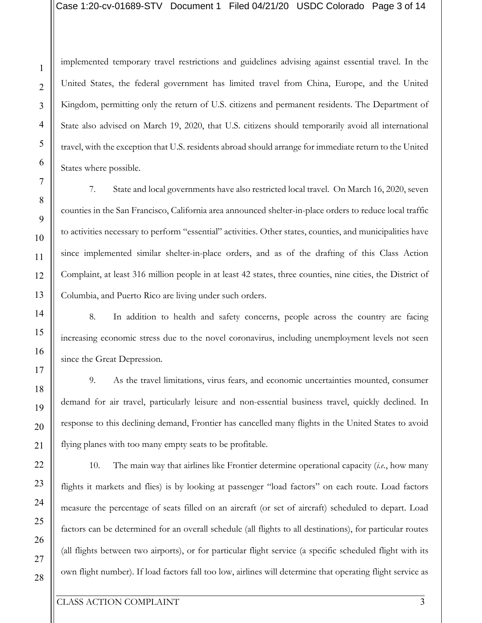implemented temporary travel restrictions and guidelines advising against essential travel. In the United States, the federal government has limited travel from China, Europe, and the United Kingdom, permitting only the return of U.S. citizens and permanent residents. The Department of State also advised on March 19, 2020, that U.S. citizens should temporarily avoid all international travel, with the exception that U.S. residents abroad should arrange for immediate return to the United States where possible.

7. State and local governments have also restricted local travel. On March 16, 2020, seven counties in the San Francisco, California area announced shelter-in-place orders to reduce local traffic to activities necessary to perform "essential" activities. Other states, counties, and municipalities have since implemented similar shelter-in-place orders, and as of the drafting of this Class Action Complaint, at least 316 million people in at least 42 states, three counties, nine cities, the District of Columbia, and Puerto Rico are living under such orders.

8. In addition to health and safety concerns, people across the country are facing increasing economic stress due to the novel coronavirus, including unemployment levels not seen since the Great Depression.

9. As the travel limitations, virus fears, and economic uncertainties mounted, consumer demand for air travel, particularly leisure and non-essential business travel, quickly declined. In response to this declining demand, Frontier has cancelled many flights in the United States to avoid flying planes with too many empty seats to be profitable.

10. The main way that airlines like Frontier determine operational capacity (*i.e.*, how many flights it markets and flies) is by looking at passenger "load factors" on each route. Load factors measure the percentage of seats filled on an aircraft (or set of aircraft) scheduled to depart. Load factors can be determined for an overall schedule (all flights to all destinations), for particular routes (all flights between two airports), or for particular flight service (a specific scheduled flight with its own flight number). If load factors fall too low, airlines will determine that operating flight service as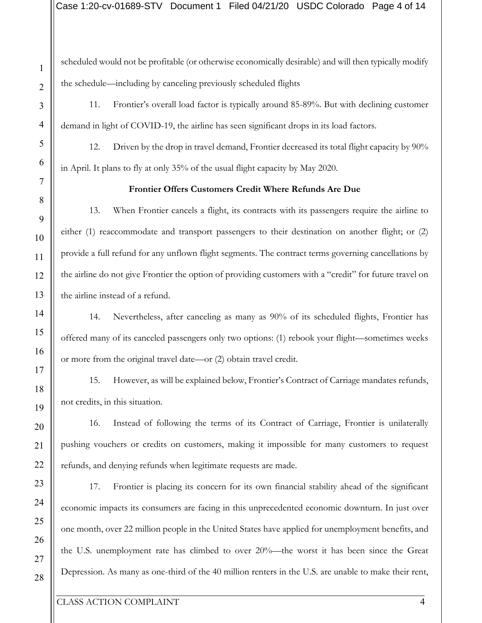scheduled would not be profitable (or otherwise economically desirable) and will then typically modify the schedule—including by canceling previously scheduled flights

11. Frontier's overall load factor is typically around 85-89%. But with declining customer demand in light of COVID-19, the airline has seen significant drops in its load factors.

12. Driven by the drop in travel demand, Frontier decreased its total flight capacity by 90% in April. It plans to fly at only 35% of the usual flight capacity by May 2020.

## **Frontier Offers Customers Credit Where Refunds Are Due**

13. When Frontier cancels a flight, its contracts with its passengers require the airline to either (1) reaccommodate and transport passengers to their destination on another flight; or (2) provide a full refund for any unflown flight segments. The contract terms governing cancellations by the airline do not give Frontier the option of providing customers with a "credit" for future travel on the airline instead of a refund.

14. Nevertheless, after canceling as many as 90% of its scheduled flights, Frontier has offered many of its canceled passengers only two options: (1) rebook your flight—sometimes weeks or more from the original travel date—or (2) obtain travel credit.

15. However, as will be explained below, Frontier's Contract of Carriage mandates refunds, not credits, in this situation.

16. Instead of following the terms of its Contract of Carriage, Frontier is unilaterally pushing vouchers or credits on customers, making it impossible for many customers to request refunds, and denying refunds when legitimate requests are made.

17. Frontier is placing its concern for its own financial stability ahead of the significant economic impacts its consumers are facing in this unprecedented economic downturn. In just over one month, over 22 million people in the United States have applied for unemployment benefits, and the U.S. unemployment rate has climbed to over 20%—the worst it has been since the Great Depression. As many as one-third of the 40 million renters in the U.S. are unable to make their rent,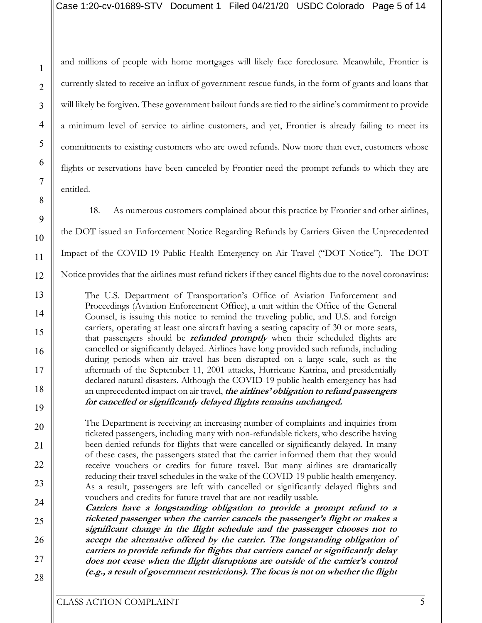and millions of people with home mortgages will likely face foreclosure. Meanwhile, Frontier is currently slated to receive an influx of government rescue funds, in the form of grants and loans that will likely be forgiven. These government bailout funds are tied to the airline's commitment to provide a minimum level of service to airline customers, and yet, Frontier is already failing to meet its commitments to existing customers who are owed refunds. Now more than ever, customers whose flights or reservations have been canceled by Frontier need the prompt refunds to which they are entitled.

18. As numerous customers complained about this practice by Frontier and other airlines, the DOT issued an Enforcement Notice Regarding Refunds by Carriers Given the Unprecedented Impact of the COVID-19 Public Health Emergency on Air Travel ("DOT Notice"). The DOT Notice provides that the airlines must refund tickets if they cancel flights due to the novel coronavirus:

The U.S. Department of Transportation's Office of Aviation Enforcement and Proceedings (Aviation Enforcement Office), a unit within the Office of the General Counsel, is issuing this notice to remind the traveling public, and U.S. and foreign carriers, operating at least one aircraft having a seating capacity of 30 or more seats, that passengers should be **refunded promptly** when their scheduled flights are cancelled or significantly delayed. Airlines have long provided such refunds, including during periods when air travel has been disrupted on a large scale, such as the aftermath of the September 11, 2001 attacks, Hurricane Katrina, and presidentially declared natural disasters. Although the COVID-19 public health emergency has had an unprecedented impact on air travel, **the airlines' obligation to refund passengers for cancelled or significantly delayed flights remains unchanged.** 

The Department is receiving an increasing number of complaints and inquiries from ticketed passengers, including many with non-refundable tickets, who describe having been denied refunds for flights that were cancelled or significantly delayed. In many of these cases, the passengers stated that the carrier informed them that they would receive vouchers or credits for future travel. But many airlines are dramatically reducing their travel schedules in the wake of the COVID-19 public health emergency. As a result, passengers are left with cancelled or significantly delayed flights and vouchers and credits for future travel that are not readily usable.

**Carriers have a longstanding obligation to provide a prompt refund to a ticketed passenger when the carrier cancels the passenger's flight or makes a significant change in the flight schedule and the passenger chooses not to accept the alternative offered by the carrier. The longstanding obligation of carriers to provide refunds for flights that carriers cancel or significantly delay does not cease when the flight disruptions are outside of the carrier's control (e.g., a result of government restrictions). The focus is not on whether the flight** 

1

2

3

4

5

6

7

8

9

10

11

12

13

14

15

16

17

18

19

20

21

22

23

24

25

26

27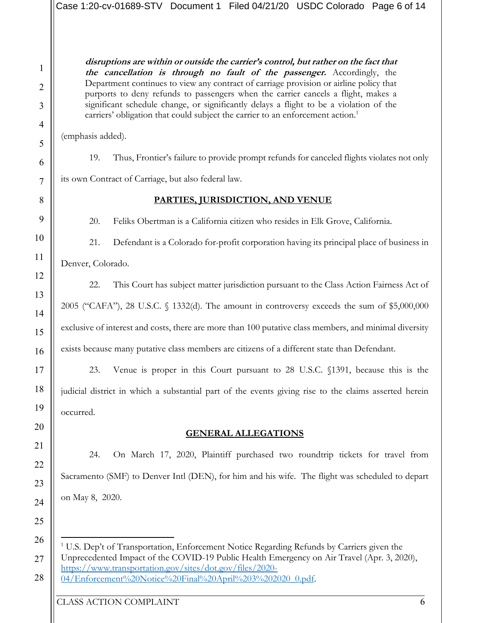**disruptions are within or outside the carrier's control, but rather on the fact that the cancellation is through no fault of the passenger.** Accordingly, the Department continues to view any contract of carriage provision or airline policy that purports to deny refunds to passengers when the carrier cancels a flight, makes a significant schedule change, or significantly delays a flight to be a violation of the carriers' obligation that could subject the carrier to an enforcement action.<sup>1</sup>

(emphasis added).

1

2

3

4

5

6

7

8

9

10

11

12

13

14

15

16

17

18

19

20

21

22

23

24

25

19. Thus, Frontier's failure to provide prompt refunds for canceled flights violates not only

its own Contract of Carriage, but also federal law.

## **PARTIES, JURISDICTION, AND VENUE**

20. Feliks Obertman is a California citizen who resides in Elk Grove, California.

21. Defendant is a Colorado for-profit corporation having its principal place of business in

Denver, Colorado.

22. This Court has subject matter jurisdiction pursuant to the Class Action Fairness Act of 2005 ("CAFA"), 28 U.S.C. § 1332(d). The amount in controversy exceeds the sum of \$5,000,000 exclusive of interest and costs, there are more than 100 putative class members, and minimal diversity exists because many putative class members are citizens of a different state than Defendant.

23. Venue is proper in this Court pursuant to 28 U.S.C. §1391, because this is the judicial district in which a substantial part of the events giving rise to the claims asserted herein occurred.

## **GENERAL ALLEGATIONS**

24. On March 17, 2020, Plaintiff purchased two roundtrip tickets for travel from Sacramento (SMF) to Denver Intl (DEN), for him and his wife. The flight was scheduled to depart on May 8, 2020.

26 27

28

CLASS ACTION COMPLAINT 6

<sup>&</sup>lt;sup>1</sup> U.S. Dep't of Transportation, Enforcement Notice Regarding Refunds by Carriers given the Unprecedented Impact of the COVID-19 Public Health Emergency on Air Travel (Apr. 3, 2020), https://www.transportation.gov/sites/dot.gov/files/2020- 04/Enforcement%20Notice%20Final%20April%203%202020\_0.pdf.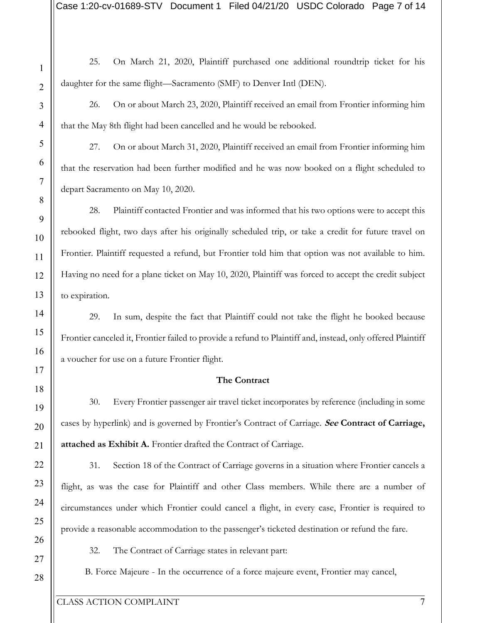25. On March 21, 2020, Plaintiff purchased one additional roundtrip ticket for his daughter for the same flight—Sacramento (SMF) to Denver Intl (DEN). 26. On or about March 23, 2020, Plaintiff received an email from Frontier informing him that the May 8th flight had been cancelled and he would be rebooked. 27. On or about March 31, 2020, Plaintiff received an email from Frontier informing him that the reservation had been further modified and he was now booked on a flight scheduled to depart Sacramento on May 10, 2020. 28. Plaintiff contacted Frontier and was informed that his two options were to accept this rebooked flight, two days after his originally scheduled trip, or take a credit for future travel on Frontier. Plaintiff requested a refund, but Frontier told him that option was not available to him. Having no need for a plane ticket on May 10, 2020, Plaintiff was forced to accept the credit subject to expiration.

29. In sum, despite the fact that Plaintiff could not take the flight he booked because Frontier canceled it, Frontier failed to provide a refund to Plaintiff and, instead, only offered Plaintiff a voucher for use on a future Frontier flight.

#### **The Contract**

30. Every Frontier passenger air travel ticket incorporates by reference (including in some cases by hyperlink) and is governed by Frontier's Contract of Carriage. **See Contract of Carriage, attached as Exhibit A.** Frontier drafted the Contract of Carriage.

31. Section 18 of the Contract of Carriage governs in a situation where Frontier cancels a flight, as was the case for Plaintiff and other Class members. While there are a number of circumstances under which Frontier could cancel a flight, in every case, Frontier is required to provide a reasonable accommodation to the passenger's ticketed destination or refund the fare.

32. The Contract of Carriage states in relevant part:

B. Force Majeure - In the occurrence of a force majeure event, Frontier may cancel,

1

2

3

4

5

6

7

8

9

10

11

12

13

14

15

16

17

18

19

20

21

22

23

24

25

26

27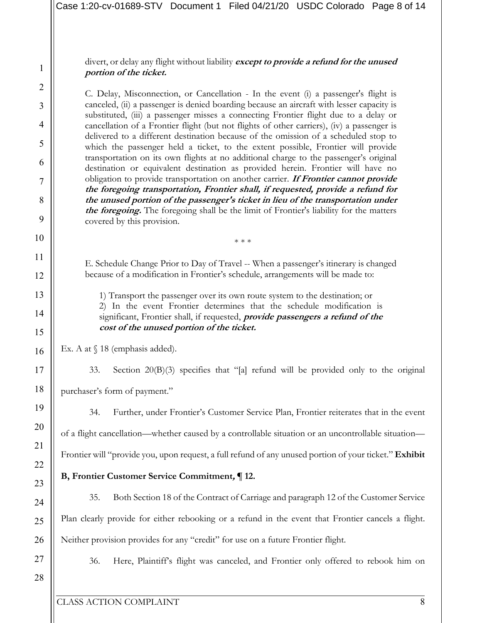divert, or delay any flight without liability **except to provide a refund for the unused portion of the ticket.** 

C. Delay, Misconnection, or Cancellation - In the event (i) a passenger's flight is canceled, (ii) a passenger is denied boarding because an aircraft with lesser capacity is substituted, (iii) a passenger misses a connecting Frontier flight due to a delay or cancellation of a Frontier flight (but not flights of other carriers), (iv) a passenger is delivered to a different destination because of the omission of a scheduled stop to which the passenger held a ticket, to the extent possible, Frontier will provide transportation on its own flights at no additional charge to the passenger's original destination or equivalent destination as provided herein. Frontier will have no obligation to provide transportation on another carrier. **If Frontier cannot provide the foregoing transportation, Frontier shall, if requested, provide a refund for the unused portion of the passenger's ticket in lieu of the transportation under the foregoing.** The foregoing shall be the limit of Frontier's liability for the matters covered by this provision.

E. Schedule Change Prior to Day of Travel -- When a passenger's itinerary is changed because of a modification in Frontier's schedule, arrangements will be made to:

\* \* \*

1) Transport the passenger over its own route system to the destination; or 2) In the event Frontier determines that the schedule modification is significant, Frontier shall, if requested, **provide passengers a refund of the cost of the unused portion of the ticket.**

Ex. A at  $\S$  18 (emphasis added).

33. Section 20(B)(3) specifies that "[a] refund will be provided only to the original purchaser's form of payment."

34. Further, under Frontier's Customer Service Plan, Frontier reiterates that in the event of a flight cancellation—whether caused by a controllable situation or an uncontrollable situation— Frontier will "provide you, upon request, a full refund of any unused portion of your ticket." **Exhibit** 

# **B, Frontier Customer Service Commitment, ¶ 12.**

35. Both Section 18 of the Contract of Carriage and paragraph 12 of the Customer Service Plan clearly provide for either rebooking or a refund in the event that Frontier cancels a flight. Neither provision provides for any "credit" for use on a future Frontier flight.

27 28

1

2

3

4

5

6

7

8

9

10

11

12

13

14

15

16

17

18

19

20

21

22

23

24

25

26

36. Here, Plaintiff's flight was canceled, and Frontier only offered to rebook him on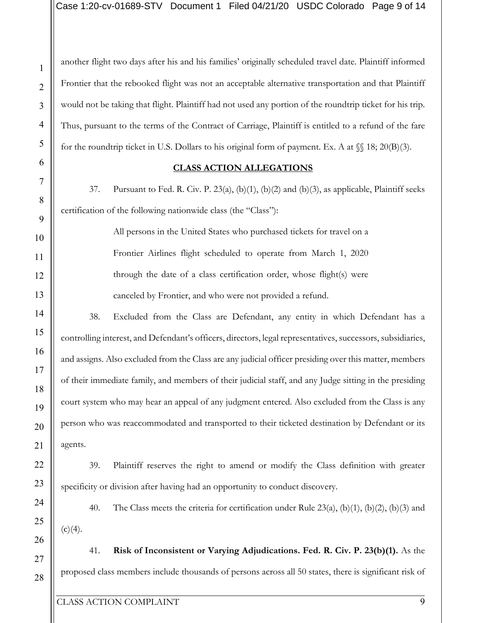another flight two days after his and his families' originally scheduled travel date. Plaintiff informed Frontier that the rebooked flight was not an acceptable alternative transportation and that Plaintiff would not be taking that flight. Plaintiff had not used any portion of the roundtrip ticket for his trip. Thus, pursuant to the terms of the Contract of Carriage, Plaintiff is entitled to a refund of the fare for the roundtrip ticket in U.S. Dollars to his original form of payment. Ex. A at  $\mathcal{S}$  18; 20(B)(3).

#### **CLASS ACTION ALLEGATIONS**

37. Pursuant to Fed. R. Civ. P. 23(a), (b)(1), (b)(2) and (b)(3), as applicable, Plaintiff seeks certification of the following nationwide class (the "Class"):

> All persons in the United States who purchased tickets for travel on a Frontier Airlines flight scheduled to operate from March 1, 2020 through the date of a class certification order, whose flight(s) were canceled by Frontier, and who were not provided a refund.

38. Excluded from the Class are Defendant, any entity in which Defendant has a controlling interest, and Defendant's officers, directors, legal representatives, successors, subsidiaries, and assigns. Also excluded from the Class are any judicial officer presiding over this matter, members of their immediate family, and members of their judicial staff, and any Judge sitting in the presiding court system who may hear an appeal of any judgment entered. Also excluded from the Class is any person who was reaccommodated and transported to their ticketed destination by Defendant or its agents.

39. Plaintiff reserves the right to amend or modify the Class definition with greater specificity or division after having had an opportunity to conduct discovery.

40. The Class meets the criteria for certification under Rule 23(a), (b)(1), (b)(2), (b)(3) and  $(c)(4)$ .

41. **Risk of Inconsistent or Varying Adjudications. Fed. R. Civ. P. 23(b)(1).** As the proposed class members include thousands of persons across all 50 states, there is significant risk of

1

2

3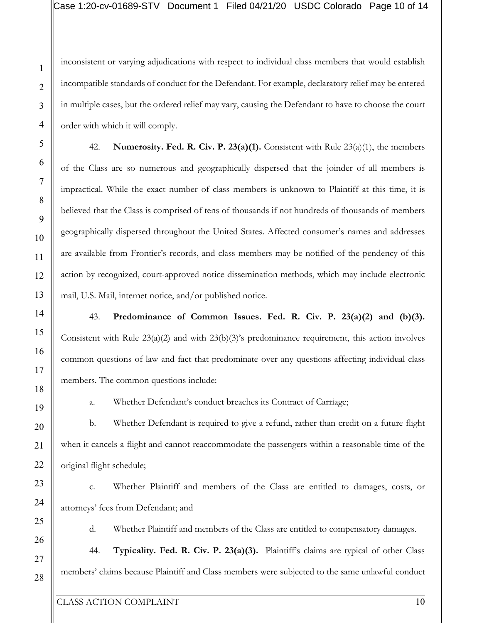inconsistent or varying adjudications with respect to individual class members that would establish incompatible standards of conduct for the Defendant. For example, declaratory relief may be entered in multiple cases, but the ordered relief may vary, causing the Defendant to have to choose the court order with which it will comply.

42. **Numerosity. Fed. R. Civ. P. 23(a)(1).** Consistent with Rule 23(a)(1), the members of the Class are so numerous and geographically dispersed that the joinder of all members is impractical. While the exact number of class members is unknown to Plaintiff at this time, it is believed that the Class is comprised of tens of thousands if not hundreds of thousands of members geographically dispersed throughout the United States. Affected consumer's names and addresses are available from Frontier's records, and class members may be notified of the pendency of this action by recognized, court-approved notice dissemination methods, which may include electronic mail, U.S. Mail, internet notice, and/or published notice.

43. **Predominance of Common Issues. Fed. R. Civ. P. 23(a)(2) and (b)(3).** Consistent with Rule 23(a)(2) and with 23(b)(3)'s predominance requirement, this action involves common questions of law and fact that predominate over any questions affecting individual class members. The common questions include:

a. Whether Defendant's conduct breaches its Contract of Carriage;

b. Whether Defendant is required to give a refund, rather than credit on a future flight when it cancels a flight and cannot reaccommodate the passengers within a reasonable time of the original flight schedule;

c. Whether Plaintiff and members of the Class are entitled to damages, costs, or attorneys' fees from Defendant; and

d. Whether Plaintiff and members of the Class are entitled to compensatory damages.

44. **Typicality. Fed. R. Civ. P. 23(a)(3).** Plaintiff's claims are typical of other Class members' claims because Plaintiff and Class members were subjected to the same unlawful conduct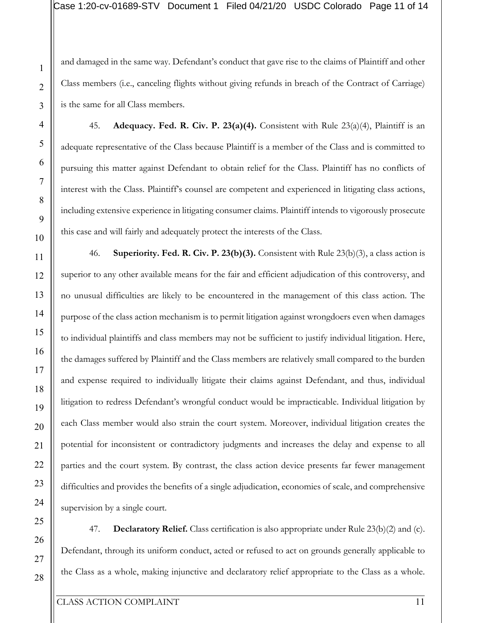and damaged in the same way. Defendant's conduct that gave rise to the claims of Plaintiff and other Class members (i.e., canceling flights without giving refunds in breach of the Contract of Carriage) is the same for all Class members.

45. **Adequacy. Fed. R. Civ. P. 23(a)(4).** Consistent with Rule 23(a)(4), Plaintiff is an adequate representative of the Class because Plaintiff is a member of the Class and is committed to pursuing this matter against Defendant to obtain relief for the Class. Plaintiff has no conflicts of interest with the Class. Plaintiff's counsel are competent and experienced in litigating class actions, including extensive experience in litigating consumer claims. Plaintiff intends to vigorously prosecute this case and will fairly and adequately protect the interests of the Class.

46. **Superiority. Fed. R. Civ. P. 23(b)(3).** Consistent with Rule 23(b)(3), a class action is superior to any other available means for the fair and efficient adjudication of this controversy, and no unusual difficulties are likely to be encountered in the management of this class action. The purpose of the class action mechanism is to permit litigation against wrongdoers even when damages to individual plaintiffs and class members may not be sufficient to justify individual litigation. Here, the damages suffered by Plaintiff and the Class members are relatively small compared to the burden and expense required to individually litigate their claims against Defendant, and thus, individual litigation to redress Defendant's wrongful conduct would be impracticable. Individual litigation by each Class member would also strain the court system. Moreover, individual litigation creates the potential for inconsistent or contradictory judgments and increases the delay and expense to all parties and the court system. By contrast, the class action device presents far fewer management difficulties and provides the benefits of a single adjudication, economies of scale, and comprehensive supervision by a single court.

47. **Declaratory Relief.** Class certification is also appropriate under Rule 23(b)(2) and (c). Defendant, through its uniform conduct, acted or refused to act on grounds generally applicable to the Class as a whole, making injunctive and declaratory relief appropriate to the Class as a whole.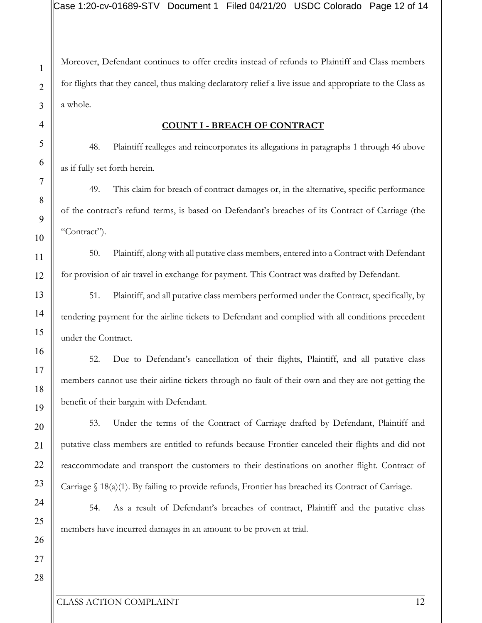Moreover, Defendant continues to offer credits instead of refunds to Plaintiff and Class members for flights that they cancel, thus making declaratory relief a live issue and appropriate to the Class as a whole.

#### **COUNT I - BREACH OF CONTRACT**

48. Plaintiff realleges and reincorporates its allegations in paragraphs 1 through 46 above as if fully set forth herein.

49. This claim for breach of contract damages or, in the alternative, specific performance of the contract's refund terms, is based on Defendant's breaches of its Contract of Carriage (the "Contract").

50. Plaintiff, along with all putative class members, entered into a Contract with Defendant for provision of air travel in exchange for payment. This Contract was drafted by Defendant.

51. Plaintiff, and all putative class members performed under the Contract, specifically, by tendering payment for the airline tickets to Defendant and complied with all conditions precedent under the Contract.

52. Due to Defendant's cancellation of their flights, Plaintiff, and all putative class members cannot use their airline tickets through no fault of their own and they are not getting the benefit of their bargain with Defendant.

53. Under the terms of the Contract of Carriage drafted by Defendant, Plaintiff and putative class members are entitled to refunds because Frontier canceled their flights and did not reaccommodate and transport the customers to their destinations on another flight. Contract of Carriage § 18(a)(1). By failing to provide refunds, Frontier has breached its Contract of Carriage.

54. As a result of Defendant's breaches of contract, Plaintiff and the putative class members have incurred damages in an amount to be proven at trial.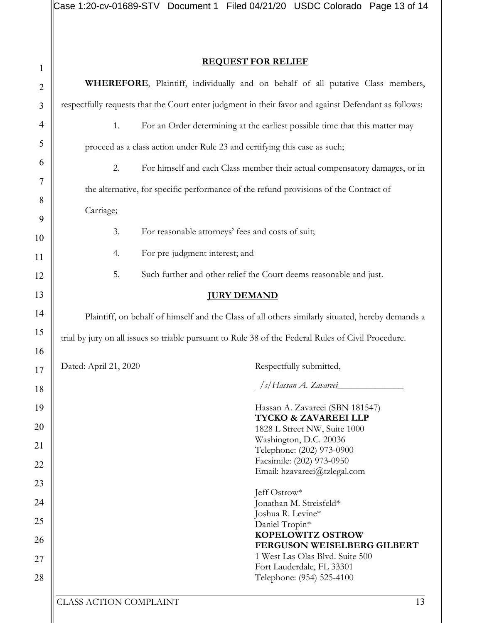$|{\mathsf{Case}}\>1:20\>{\mathsf{cv}}{\text{-}}01689{\mathsf{-}}\mathrm{STV}$  Document  $1$  Filed 04/21/20 USDC Colorado Page 13 of 14

# **REQUEST FOR RELIEF**

| $\overline{2}$ | WHEREFORE, Plaintiff, individually and on behalf of all putative Class members,                      |                                                                            |  |  |
|----------------|------------------------------------------------------------------------------------------------------|----------------------------------------------------------------------------|--|--|
| 3              | respectfully requests that the Court enter judgment in their favor and against Defendant as follows: |                                                                            |  |  |
| $\overline{4}$ | For an Order determining at the earliest possible time that this matter may<br>1.                    |                                                                            |  |  |
| 5              |                                                                                                      | proceed as a class action under Rule 23 and certifying this case as such;  |  |  |
| 6              | 2.                                                                                                   | For himself and each Class member their actual compensatory damages, or in |  |  |
| 7              | the alternative, for specific performance of the refund provisions of the Contract of                |                                                                            |  |  |
| 8              | Carriage;                                                                                            |                                                                            |  |  |
| 9              |                                                                                                      |                                                                            |  |  |
| 10             | 3.<br>For reasonable attorneys' fees and costs of suit;                                              |                                                                            |  |  |
| 11             | For pre-judgment interest; and<br>4.                                                                 |                                                                            |  |  |
| 12             | 5.<br>Such further and other relief the Court deems reasonable and just.                             |                                                                            |  |  |
| 13             | <b>JURY DEMAND</b>                                                                                   |                                                                            |  |  |
| 14             | Plaintiff, on behalf of himself and the Class of all others similarly situated, hereby demands a     |                                                                            |  |  |
| 15             | trial by jury on all issues so triable pursuant to Rule 38 of the Federal Rules of Civil Procedure.  |                                                                            |  |  |
| 16             |                                                                                                      |                                                                            |  |  |
| 17             | Dated: April 21, 2020                                                                                | Respectfully submitted,                                                    |  |  |
| 18             |                                                                                                      | /s/Hassan A. Zavareei                                                      |  |  |
| 19             |                                                                                                      | Hassan A. Zavareei (SBN 181547)                                            |  |  |
| $20\,$         |                                                                                                      | TYCKO & ZAVAREEI LLP<br>1828 L Street NW, Suite 1000                       |  |  |
| 21             |                                                                                                      | Washington, D.C. 20036<br>Telephone: (202) 973-0900                        |  |  |
| 22             |                                                                                                      | Facsimile: (202) 973-0950                                                  |  |  |
| 23             |                                                                                                      | Email: hzavareei@tzlegal.com                                               |  |  |
|                | Jeff Ostrow*                                                                                         |                                                                            |  |  |
| 24             |                                                                                                      | Jonathan M. Streisfeld*<br>Joshua R. Levine*                               |  |  |
| 25             |                                                                                                      | Daniel Tropin*                                                             |  |  |
| 26             |                                                                                                      | <b>KOPELOWITZ OSTROW</b><br><b>FERGUSON WEISELBERG GILBERT</b>             |  |  |
| 27             |                                                                                                      | 1 West Las Olas Blvd. Suite 500                                            |  |  |
| 28             |                                                                                                      | Fort Lauderdale, FL 33301<br>Telephone: (954) 525-4100                     |  |  |
|                | <b>CLASS ACTION COMPLAINT</b>                                                                        | 13                                                                         |  |  |